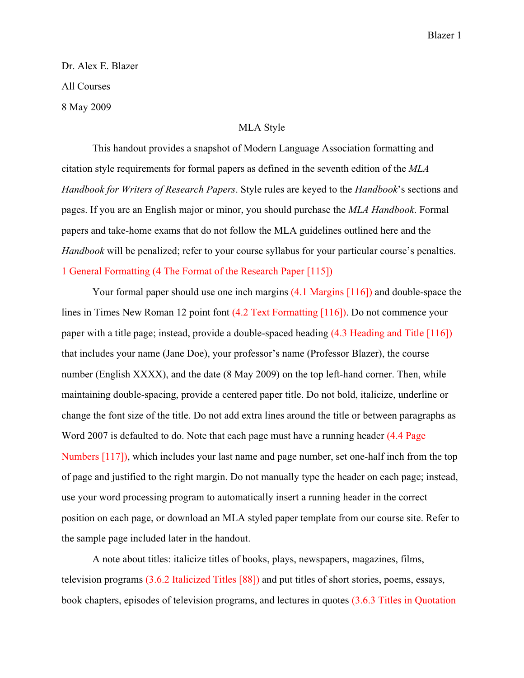Dr. Alex E. Blazer All Courses 8 May 2009

#### MLA Style

This handout provides a snapshot of Modern Language Association formatting and citation style requirements for formal papers as defined in the seventh edition of the *MLA Handbook for Writers of Research Papers*. Style rules are keyed to the *Handbook*'s sections and pages. If you are an English major or minor, you should purchase the *MLA Handbook*. Formal papers and take-home exams that do not follow the MLA guidelines outlined here and the *Handbook* will be penalized; refer to your course syllabus for your particular course's penalties. 1 General Formatting (4 The Format of the Research Paper [115])

Your formal paper should use one inch margins  $(4.1 \text{ Margins } [116])$  and double-space the lines in Times New Roman 12 point font (4.2 Text Formatting [116]). Do not commence your paper with a title page; instead, provide a double-spaced heading (4.3 Heading and Title [116]) that includes your name (Jane Doe), your professor's name (Professor Blazer), the course number (English XXXX), and the date (8 May 2009) on the top left-hand corner. Then, while maintaining double-spacing, provide a centered paper title. Do not bold, italicize, underline or change the font size of the title. Do not add extra lines around the title or between paragraphs as Word 2007 is defaulted to do. Note that each page must have a running header (4.4 Page Numbers [117]), which includes your last name and page number, set one-half inch from the top of page and justified to the right margin. Do not manually type the header on each page; instead, use your word processing program to automatically insert a running header in the correct position on each page, or download an MLA styled paper template from our course site. Refer to the sample page included later in the handout.

A note about titles: italicize titles of books, plays, newspapers, magazines, films, television programs (3.6.2 Italicized Titles [88]) and put titles of short stories, poems, essays, book chapters, episodes of television programs, and lectures in quotes (3.6.3 Titles in Quotation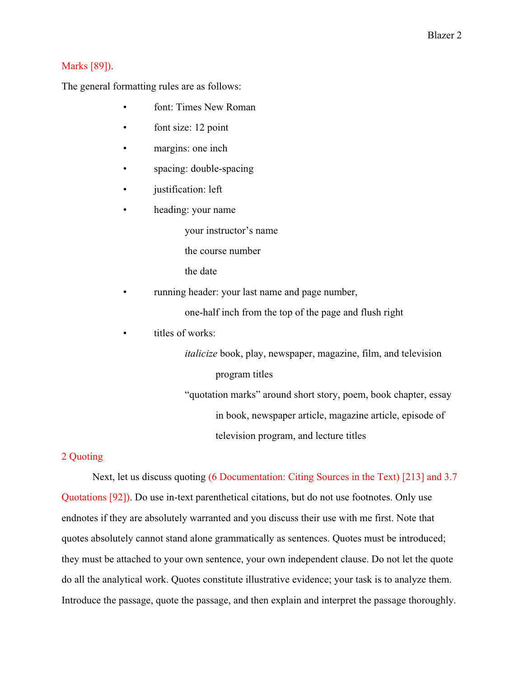#### Marks [89]).

The general formatting rules are as follows:

- font: Times New Roman
- font size: 12 point
- margins: one inch
- spacing: double-spacing
- justification: left
- heading: your name

your instructor's name

the course number

the date

running header: your last name and page number,

one-half inch from the top of the page and flush right

titles of works:

*italicize* book, play, newspaper, magazine, film, and television program titles

"quotation marks" around short story, poem, book chapter, essay in book, newspaper article, magazine article, episode of television program, and lecture titles

### 2 Quoting

Next, let us discuss quoting (6 Documentation: Citing Sources in the Text) [213] and 3.7 Quotations [92]). Do use in-text parenthetical citations, but do not use footnotes. Only use endnotes if they are absolutely warranted and you discuss their use with me first. Note that quotes absolutely cannot stand alone grammatically as sentences. Quotes must be introduced; they must be attached to your own sentence, your own independent clause. Do not let the quote do all the analytical work. Quotes constitute illustrative evidence; your task is to analyze them. Introduce the passage, quote the passage, and then explain and interpret the passage thoroughly.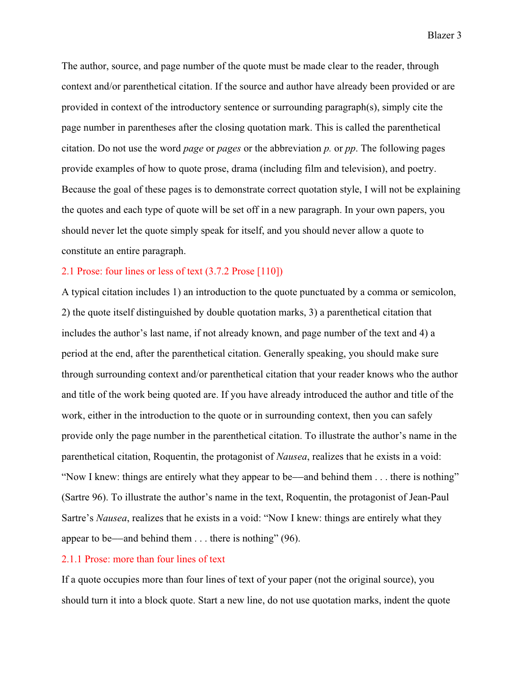Blazer 3

The author, source, and page number of the quote must be made clear to the reader, through context and/or parenthetical citation. If the source and author have already been provided or are provided in context of the introductory sentence or surrounding paragraph(s), simply cite the page number in parentheses after the closing quotation mark. This is called the parenthetical citation. Do not use the word *page* or *pages* or the abbreviation *p.* or *pp*. The following pages provide examples of how to quote prose, drama (including film and television), and poetry. Because the goal of these pages is to demonstrate correct quotation style, I will not be explaining the quotes and each type of quote will be set off in a new paragraph. In your own papers, you should never let the quote simply speak for itself, and you should never allow a quote to constitute an entire paragraph.

#### 2.1 Prose: four lines or less of text (3.7.2 Prose [110])

A typical citation includes 1) an introduction to the quote punctuated by a comma or semicolon, 2) the quote itself distinguished by double quotation marks, 3) a parenthetical citation that includes the author's last name, if not already known, and page number of the text and 4) a period at the end, after the parenthetical citation. Generally speaking, you should make sure through surrounding context and/or parenthetical citation that your reader knows who the author and title of the work being quoted are. If you have already introduced the author and title of the work, either in the introduction to the quote or in surrounding context, then you can safely provide only the page number in the parenthetical citation. To illustrate the author's name in the parenthetical citation, Roquentin, the protagonist of *Nausea*, realizes that he exists in a void: "Now I knew: things are entirely what they appear to be—and behind them  $\dots$  there is nothing" (Sartre 96). To illustrate the author's name in the text, Roquentin, the protagonist of Jean-Paul Sartre's *Nausea*, realizes that he exists in a void: "Now I knew: things are entirely what they appear to be—and behind them  $\dots$  there is nothing" (96).

#### 2.1.1 Prose: more than four lines of text

If a quote occupies more than four lines of text of your paper (not the original source), you should turn it into a block quote. Start a new line, do not use quotation marks, indent the quote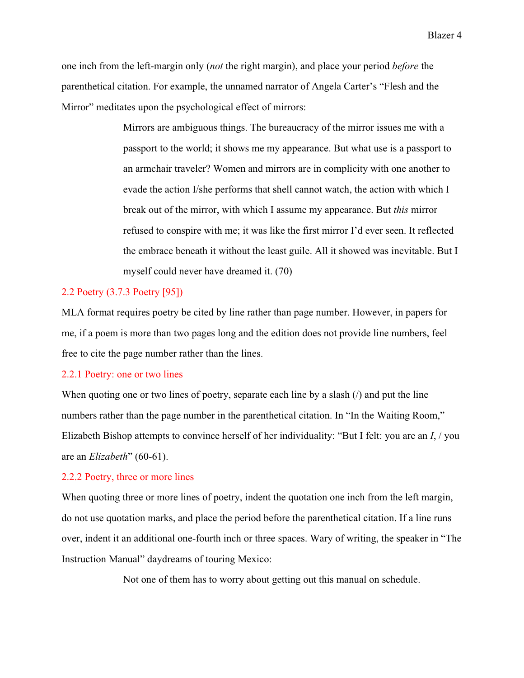one inch from the left-margin only (*not* the right margin), and place your period *before* the parenthetical citation. For example, the unnamed narrator of Angela Carter's "Flesh and the Mirror" meditates upon the psychological effect of mirrors:

> Mirrors are ambiguous things. The bureaucracy of the mirror issues me with a passport to the world; it shows me my appearance. But what use is a passport to an armchair traveler? Women and mirrors are in complicity with one another to evade the action I/she performs that shell cannot watch, the action with which I break out of the mirror, with which I assume my appearance. But *this* mirror refused to conspire with me; it was like the first mirror I'd ever seen. It reflected the embrace beneath it without the least guile. All it showed was inevitable. But I myself could never have dreamed it. (70)

#### 2.2 Poetry (3.7.3 Poetry [95])

MLA format requires poetry be cited by line rather than page number. However, in papers for me, if a poem is more than two pages long and the edition does not provide line numbers, feel free to cite the page number rather than the lines.

#### 2.2.1 Poetry: one or two lines

When quoting one or two lines of poetry, separate each line by a slash ( $\ell$ ) and put the line numbers rather than the page number in the parenthetical citation. In "In the Waiting Room," Elizabeth Bishop attempts to convince herself of her individuality: "But I felt: you are an *I*, / you are an *Elizabeth*" (60-61).

#### 2.2.2 Poetry, three or more lines

When quoting three or more lines of poetry, indent the quotation one inch from the left margin, do not use quotation marks, and place the period before the parenthetical citation. If a line runs over, indent it an additional one-fourth inch or three spaces. Wary of writing, the speaker in "The Instruction Manual" daydreams of touring Mexico:

Not one of them has to worry about getting out this manual on schedule.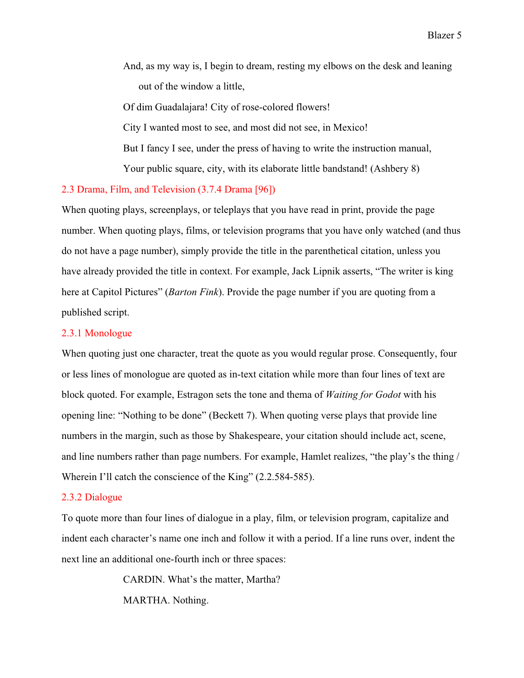And, as my way is, I begin to dream, resting my elbows on the desk and leaning out of the window a little,

Of dim Guadalajara! City of rose-colored flowers! City I wanted most to see, and most did not see, in Mexico! But I fancy I see, under the press of having to write the instruction manual, Your public square, city, with its elaborate little bandstand! (Ashbery 8)

#### 2.3 Drama, Film, and Television (3.7.4 Drama [96])

When quoting plays, screenplays, or teleplays that you have read in print, provide the page number. When quoting plays, films, or television programs that you have only watched (and thus do not have a page number), simply provide the title in the parenthetical citation, unless you have already provided the title in context. For example, Jack Lipnik asserts, "The writer is king here at Capitol Pictures" (*Barton Fink*). Provide the page number if you are quoting from a published script.

#### 2.3.1 Monologue

When quoting just one character, treat the quote as you would regular prose. Consequently, four or less lines of monologue are quoted as in-text citation while more than four lines of text are block quoted. For example, Estragon sets the tone and thema of *Waiting for Godot* with his opening line: "Nothing to be done" (Beckett 7). When quoting verse plays that provide line numbers in the margin, such as those by Shakespeare, your citation should include act, scene, and line numbers rather than page numbers. For example, Hamlet realizes, "the play's the thing / Wherein I'll catch the conscience of the King" (2.2.584-585).

#### 2.3.2 Dialogue

To quote more than four lines of dialogue in a play, film, or television program, capitalize and indent each character's name one inch and follow it with a period. If a line runs over, indent the next line an additional one-fourth inch or three spaces:

> CARDIN. What's the matter, Martha? MARTHA. Nothing.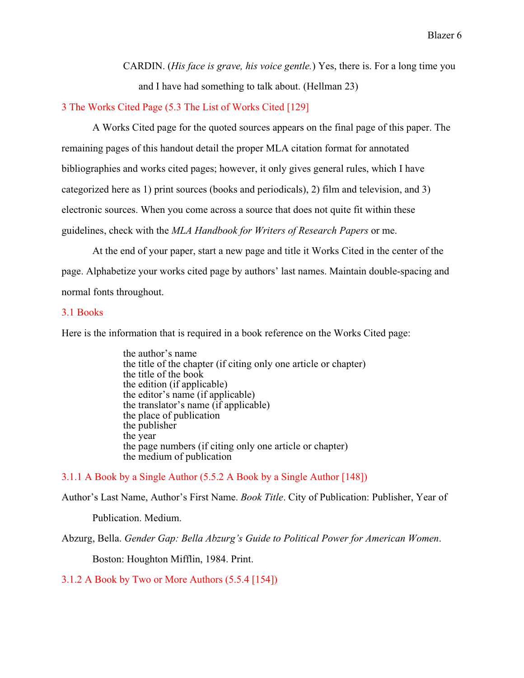CARDIN. (*His face is grave, his voice gentle.*) Yes, there is. For a long time you and I have had something to talk about. (Hellman 23)

3 The Works Cited Page (5.3 The List of Works Cited [129]

A Works Cited page for the quoted sources appears on the final page of this paper. The remaining pages of this handout detail the proper MLA citation format for annotated bibliographies and works cited pages; however, it only gives general rules, which I have categorized here as 1) print sources (books and periodicals), 2) film and television, and 3) electronic sources. When you come across a source that does not quite fit within these guidelines, check with the *MLA Handbook for Writers of Research Papers* or me.

At the end of your paper, start a new page and title it Works Cited in the center of the page. Alphabetize your works cited page by authors' last names. Maintain double-spacing and normal fonts throughout.

#### 3.1 Books

Here is the information that is required in a book reference on the Works Cited page:

the author's name the title of the chapter (if citing only one article or chapter) the title of the book the edition (if applicable) the editor's name (if applicable) the translator's name (if applicable) the place of publication the publisher the year the page numbers (if citing only one article or chapter) the medium of publication

3.1.1 A Book by a Single Author (5.5.2 A Book by a Single Author [148])

Author's Last Name, Author's First Name. *Book Title*. City of Publication: Publisher, Year of

Publication. Medium.

Abzurg, Bella. *Gender Gap: Bella Abzurg's Guide to Political Power for American Women*.

Boston: Houghton Mifflin, 1984. Print.

3.1.2 A Book by Two or More Authors (5.5.4 [154])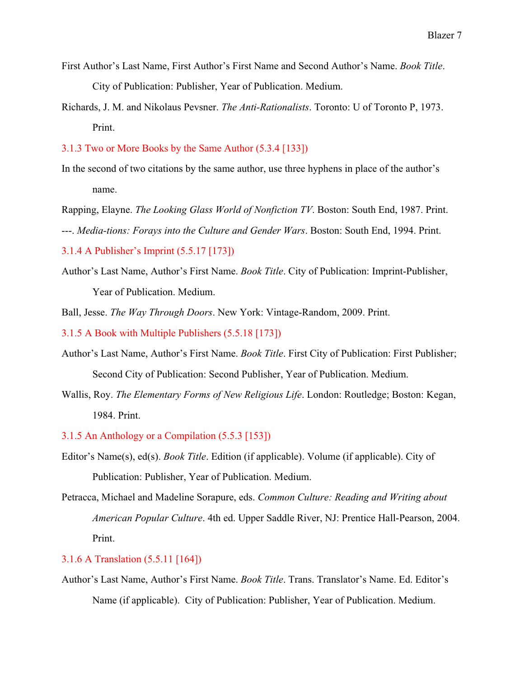- First Author's Last Name, First Author's First Name and Second Author's Name. *Book Title*. City of Publication: Publisher, Year of Publication. Medium.
- Richards, J. M. and Nikolaus Pevsner. *The Anti-Rationalists*. Toronto: U of Toronto P, 1973. Print.
- 3.1.3 Two or More Books by the Same Author (5.3.4 [133])
- In the second of two citations by the same author, use three hyphens in place of the author's name.

Rapping, Elayne. *The Looking Glass World of Nonfiction TV*. Boston: South End, 1987. Print. ---. *Media-tions: Forays into the Culture and Gender Wars*. Boston: South End, 1994. Print.

3.1.4 A Publisher's Imprint (5.5.17 [173])

Author's Last Name, Author's First Name. *Book Title*. City of Publication: Imprint-Publisher, Year of Publication. Medium.

Ball, Jesse. *The Way Through Doors*. New York: Vintage-Random, 2009. Print.

3.1.5 A Book with Multiple Publishers (5.5.18 [173])

- Author's Last Name, Author's First Name. *Book Title*. First City of Publication: First Publisher; Second City of Publication: Second Publisher, Year of Publication. Medium.
- Wallis, Roy. *The Elementary Forms of New Religious Life*. London: Routledge; Boston: Kegan, 1984. Print.

#### 3.1.5 An Anthology or a Compilation (5.5.3 [153])

- Editor's Name(s), ed(s). *Book Title*. Edition (if applicable). Volume (if applicable). City of Publication: Publisher, Year of Publication. Medium.
- Petracca, Michael and Madeline Sorapure, eds. *Common Culture: Reading and Writing about American Popular Culture*. 4th ed. Upper Saddle River, NJ: Prentice Hall-Pearson, 2004. Print.

#### 3.1.6 A Translation (5.5.11 [164])

Author's Last Name, Author's First Name. *Book Title*. Trans. Translator's Name. Ed. Editor's Name (if applicable). City of Publication: Publisher, Year of Publication. Medium.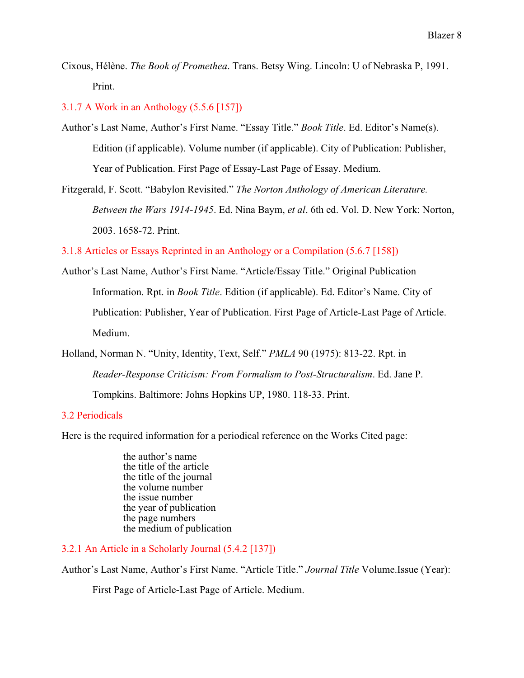Cixous, Hélène. *The Book of Promethea*. Trans. Betsy Wing. Lincoln: U of Nebraska P, 1991. Print.

3.1.7 A Work in an Anthology (5.5.6 [157])

- Author's Last Name, Author's First Name. "Essay Title." *Book Title*. Ed. Editor's Name(s). Edition (if applicable). Volume number (if applicable). City of Publication: Publisher, Year of Publication. First Page of Essay-Last Page of Essay. Medium.
- Fitzgerald, F. Scott. "Babylon Revisited." *The Norton Anthology of American Literature. Between the Wars 1914-1945*. Ed. Nina Baym, *et al*. 6th ed. Vol. D. New York: Norton, 2003. 1658-72. Print.

3.1.8 Articles or Essays Reprinted in an Anthology or a Compilation (5.6.7 [158])

- Author's Last Name, Author's First Name. "Article/Essay Title." Original Publication Information. Rpt. in *Book Title*. Edition (if applicable). Ed. Editor's Name. City of Publication: Publisher, Year of Publication. First Page of Article-Last Page of Article. Medium.
- Holland, Norman N. "Unity, Identity, Text, Self." *PMLA* 90 (1975): 813-22. Rpt. in *Reader-Response Criticism: From Formalism to Post-Structuralism*. Ed. Jane P.

Tompkins. Baltimore: Johns Hopkins UP, 1980. 118-33. Print.

#### 3.2 Periodicals

Here is the required information for a periodical reference on the Works Cited page:

the author's name the title of the article the title of the journal the volume number the issue number the year of publication the page numbers the medium of publication

## 3.2.1 An Article in a Scholarly Journal (5.4.2 [137])

Author's Last Name, Author's First Name. "Article Title." *Journal Title* Volume.Issue (Year):

First Page of Article-Last Page of Article. Medium.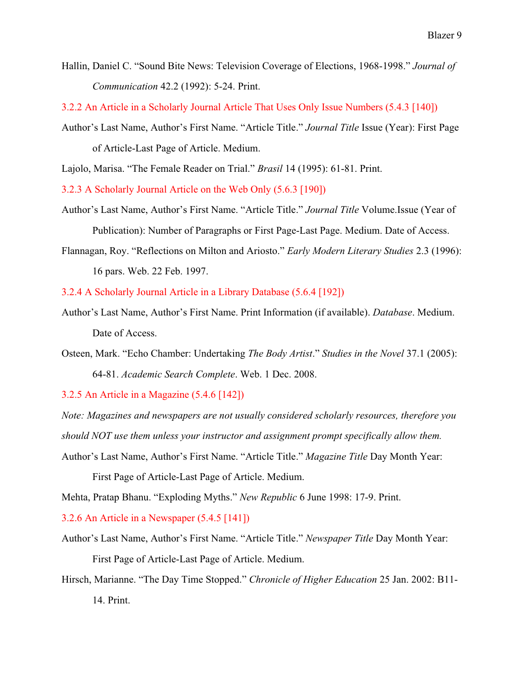Hallin, Daniel C. "Sound Bite News: Television Coverage of Elections, 1968-1998." *Journal of Communication* 42.2 (1992): 5-24. Print.

3.2.2 An Article in a Scholarly Journal Article That Uses Only Issue Numbers (5.4.3 [140])

Author's Last Name, Author's First Name. "Article Title." *Journal Title* Issue (Year): First Page of Article-Last Page of Article. Medium.

Lajolo, Marisa. "The Female Reader on Trial." *Brasil* 14 (1995): 61-81. Print.

3.2.3 A Scholarly Journal Article on the Web Only (5.6.3 [190])

- Author's Last Name, Author's First Name. "Article Title." *Journal Title* Volume.Issue (Year of Publication): Number of Paragraphs or First Page-Last Page. Medium. Date of Access.
- Flannagan, Roy. "Reflections on Milton and Ariosto." *Early Modern Literary Studies* 2.3 (1996): 16 pars. Web. 22 Feb. 1997.
- 3.2.4 A Scholarly Journal Article in a Library Database (5.6.4 [192])
- Author's Last Name, Author's First Name. Print Information (if available). *Database*. Medium. Date of Access.
- Osteen, Mark. "Echo Chamber: Undertaking *The Body Artist*." *Studies in the Novel* 37.1 (2005): 64-81. *Academic Search Complete*. Web. 1 Dec. 2008.

3.2.5 An Article in a Magazine (5.4.6 [142])

*Note: Magazines and newspapers are not usually considered scholarly resources, therefore you should NOT use them unless your instructor and assignment prompt specifically allow them.*

Author's Last Name, Author's First Name. "Article Title." *Magazine Title* Day Month Year:

First Page of Article-Last Page of Article. Medium.

Mehta, Pratap Bhanu. "Exploding Myths." *New Republic* 6 June 1998: 17-9. Print.

3.2.6 An Article in a Newspaper (5.4.5 [141])

- Author's Last Name, Author's First Name. "Article Title." *Newspaper Title* Day Month Year: First Page of Article-Last Page of Article. Medium.
- Hirsch, Marianne. "The Day Time Stopped." *Chronicle of Higher Education* 25 Jan. 2002: B11- 14. Print.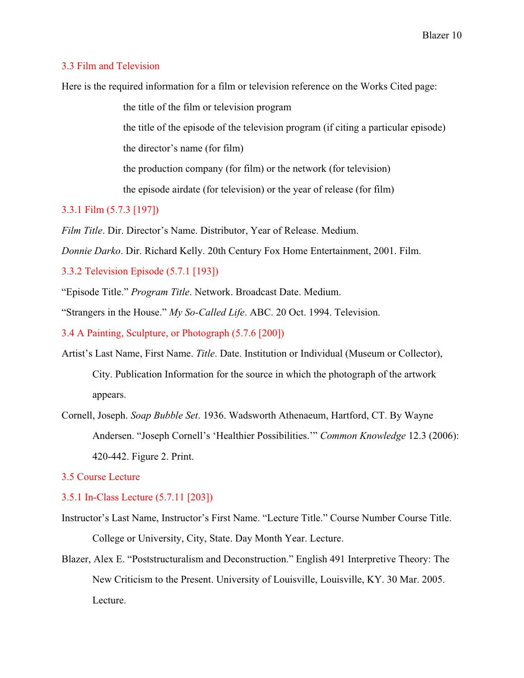#### 3.3 Film and Television

Here is the required information for a film or television reference on the Works Cited page:

the title of the film or television program

the title of the episode of the television program (if citing a particular episode)

the director's name (for film)

the production company (for film) or the network (for television)

the episode airdate (for television) or the year of release (for film)

#### 3.3.1 Film (5.7.3 [197])

*Film Title*. Dir. Director's Name. Distributor, Year of Release. Medium.

*Donnie Darko*. Dir. Richard Kelly. 20th Century Fox Home Entertainment, 2001. Film.

3.3.2 Television Episode (5.7.1 [193])

"Episode Title." *Program Title*. Network. Broadcast Date. Medium.

"Strangers in the House." *My So-Called Life*. ABC. 20 Oct. 1994. Television.

3.4 A Painting, Sculpture, or Photograph (5.7.6 [200])

Artist's Last Name, First Name. *Title*. Date. Institution or Individual (Museum or Collector), City. Publication Information for the source in which the photograph of the artwork appears.

Cornell, Joseph. *Soap Bubble Set*. 1936. Wadsworth Athenaeum, Hartford, CT. By Wayne Andersen. "Joseph Cornell's 'Healthier Possibilities.'" *Common Knowledge* 12.3 (2006): 420-442. Figure 2. Print.

#### 3.5 Course Lecture

#### 3.5.1 In-Class Lecture (5.7.11 [203])

- Instructor's Last Name, Instructor's First Name. "Lecture Title." Course Number Course Title. College or University, City, State. Day Month Year. Lecture.
- Blazer, Alex E. "Poststructuralism and Deconstruction." English 491 Interpretive Theory: The New Criticism to the Present. University of Louisville, Louisville, KY. 30 Mar. 2005. Lecture.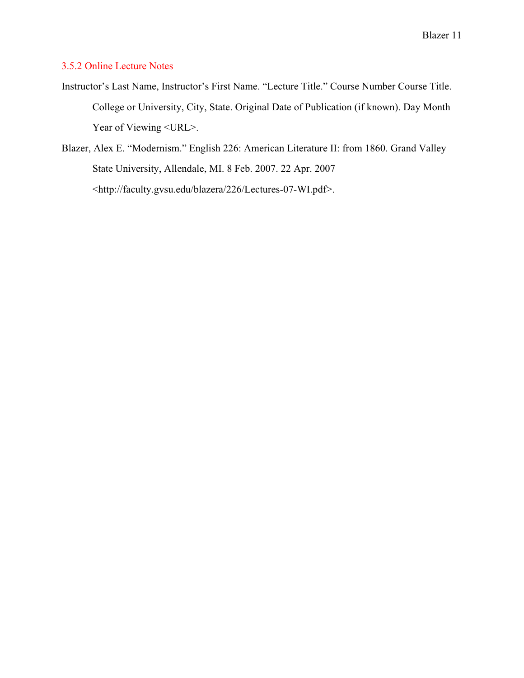## 3.5.2 Online Lecture Notes

- Instructor's Last Name, Instructor's First Name. "Lecture Title." Course Number Course Title. College or University, City, State. Original Date of Publication (if known). Day Month Year of Viewing <URL>.
- Blazer, Alex E. "Modernism." English 226: American Literature II: from 1860. Grand Valley State University, Allendale, MI. 8 Feb. 2007. 22 Apr. 2007 <http://faculty.gvsu.edu/blazera/226/Lectures-07-WI.pdf>.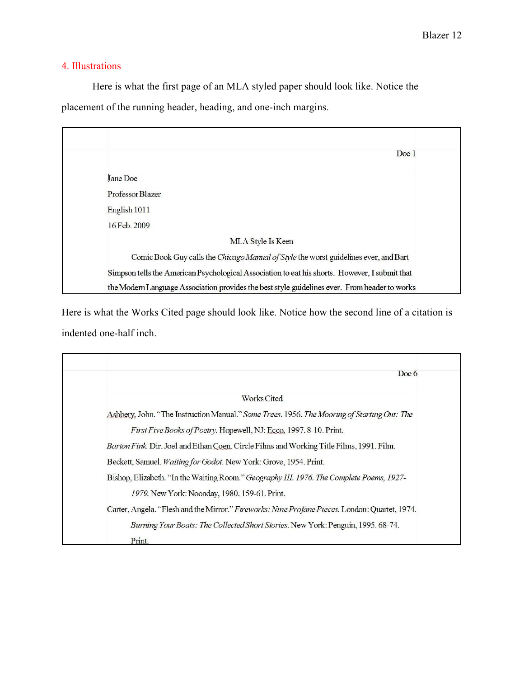## 4. Illustrations

Here is what the first page of an MLA styled paper should look like. Notice the placement of the running header, heading, and one-inch margins.

| Doe 1                                                                                          |
|------------------------------------------------------------------------------------------------|
| <b>Jane Doe</b>                                                                                |
| Professor Blazer                                                                               |
| English 1011                                                                                   |
| 16 Feb. 2009                                                                                   |
| MLA Style Is Keen                                                                              |
| Comic Book Guy calls the Chicago Manual of Style the worst guidelines ever, and Bart           |
| Simpson tells the American Psychological Association to eat his shorts. However, I submit that |
| the Modern Language Association provides the best style guidelines ever. From header to works  |

Here is what the Works Cited page should look like. Notice how the second line of a citation is indented one-half inch.

|                                                                                                | Doe $6$ |
|------------------------------------------------------------------------------------------------|---------|
| <b>Works Cited</b>                                                                             |         |
| Ashbery, John. "The Instruction Manual." Some Trees. 1956. The Mooring of Starting Out: The    |         |
| First Five Books of Poetry. Hopewell, NJ: Ecco, 1997. 8-10. Print.                             |         |
| Barton Fink. Dir. Joel and Ethan Coen. Circle Films and Working Title Films, 1991. Film.       |         |
| Beckett, Samuel. <i>Waiting for Godot</i> . New York: Grove, 1954. Print.                      |         |
| Bishop, Elizabeth. "In the Waiting Room." Geography III. 1976. The Complete Poems, 1927-       |         |
| 1979. New York: Noonday, 1980. 159-61. Print.                                                  |         |
| Carter, Angela. "Flesh and the Mirror." Fireworks: Nine Profane Pieces. London: Quartet, 1974. |         |
| Burning Your Boats: The Collected Short Stories. New York: Penguin, 1995. 68-74.               |         |
| Print                                                                                          |         |